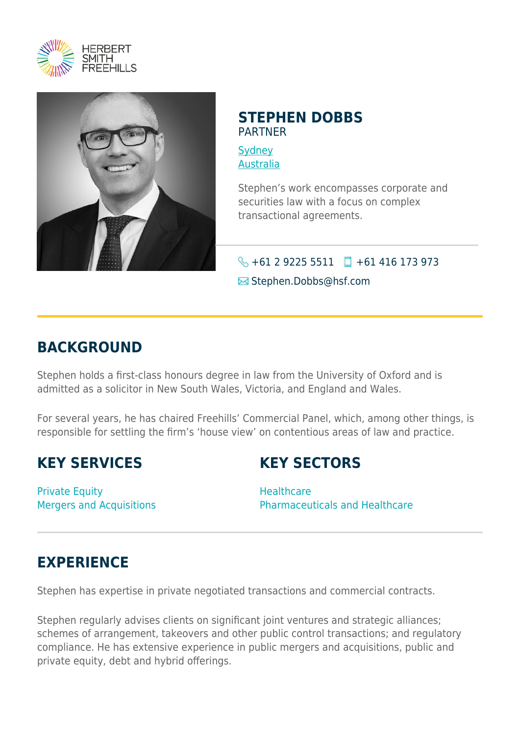



#### **STEPHEN DOBBS** PARTNER

**[Sydney](https://www.herbertsmithfreehills.com/lang-zh-hans/where-we-work/sydney)** [Australia](https://www.herbertsmithfreehills.com/lang-zh-hans/where-we-work/australia)

Stephen's work encompasses corporate and securities law with a focus on complex transactional agreements.

### $\leftarrow$  +61 2 9225 5511  $\Box$  +61 416 173 973 **Exercise** Stephen.Dobbs@hsf.com

## **BACKGROUND**

Stephen holds a first-class honours degree in law from the University of Oxford and is admitted as a solicitor in New South Wales, Victoria, and England and Wales.

For several years, he has chaired Freehills' Commercial Panel, which, among other things, is responsible for settling the firm's 'house view' on contentious areas of law and practice.

## **KEY SERVICES**

Private Equity Mergers and Acquisitions

# **KEY SECTORS**

**Healthcare** Pharmaceuticals and Healthcare

# **EXPERIENCE**

Stephen has expertise in private negotiated transactions and commercial contracts.

Stephen regularly advises clients on significant joint ventures and strategic alliances; schemes of arrangement, takeovers and other public control transactions; and regulatory compliance. He has extensive experience in public mergers and acquisitions, public and private equity, debt and hybrid offerings.